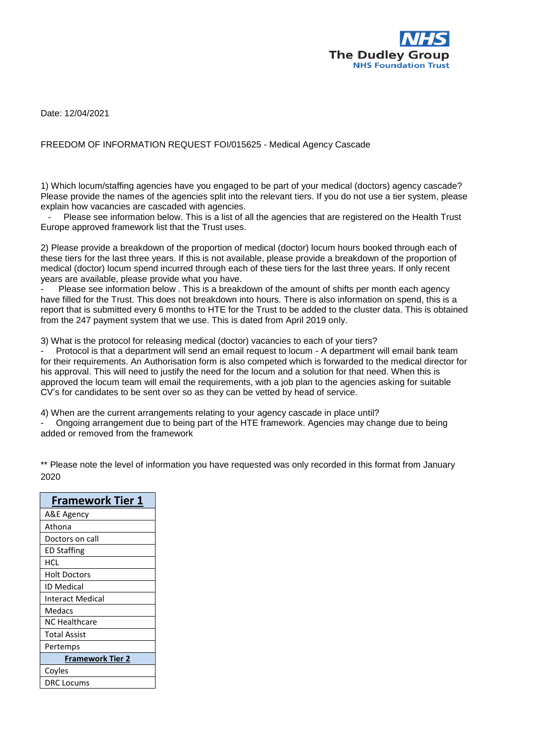

Date: 12/04/2021

## FREEDOM OF INFORMATION REQUEST FOI/015625 - Medical Agency Cascade

1) Which locum/staffing agencies have you engaged to be part of your medical (doctors) agency cascade? Please provide the names of the agencies split into the relevant tiers. If you do not use a tier system, please explain how vacancies are cascaded with agencies.

Please see information below. This is a list of all the agencies that are registered on the Health Trust Europe approved framework list that the Trust uses.

2) Please provide a breakdown of the proportion of medical (doctor) locum hours booked through each of these tiers for the last three years. If this is not available, please provide a breakdown of the proportion of medical (doctor) locum spend incurred through each of these tiers for the last three years. If only recent years are available, please provide what you have.

Please see information below . This is a breakdown of the amount of shifts per month each agency have filled for the Trust. This does not breakdown into hours. There is also information on spend, this is a report that is submitted every 6 months to HTE for the Trust to be added to the cluster data. This is obtained from the 247 payment system that we use. This is dated from April 2019 only.

3) What is the protocol for releasing medical (doctor) vacancies to each of your tiers?

Protocol is that a department will send an email request to locum - A department will email bank team for their requirements. An Authorisation form is also competed which is forwarded to the medical director for his approval. This will need to justify the need for the locum and a solution for that need. When this is approved the locum team will email the requirements, with a job plan to the agencies asking for suitable CV's for candidates to be sent over so as they can be vetted by head of service.

4) When are the current arrangements relating to your agency cascade in place until? - Ongoing arrangement due to being part of the HTE framework. Agencies may change due to being added or removed from the framework

\*\* Please note the level of information you have requested was only recorded in this format from January 2020

| <b>Framework Tier 1</b> |  |
|-------------------------|--|
| A&E Agency              |  |
| Athona                  |  |
| Doctors on call         |  |
| ED Staffing             |  |
| HCL                     |  |
| <b>Holt Doctors</b>     |  |
| ID Medical              |  |
| <b>Interact Medical</b> |  |
| Medacs                  |  |
| NC Healthcare           |  |
| <b>Total Assist</b>     |  |
| Pertemps                |  |
| <b>Framework Tier 2</b> |  |
| Coyles                  |  |
| <b>DRC</b> Locums       |  |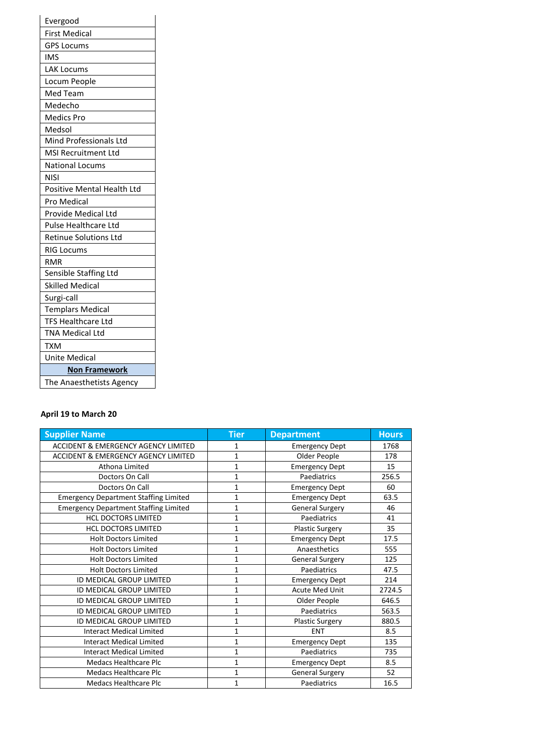| Evergood                     |
|------------------------------|
| <b>First Medical</b>         |
| <b>GPS Locums</b>            |
| IMS                          |
| <b>LAK Locums</b>            |
| Locum People                 |
| Med Team                     |
| Medecho                      |
| <b>Medics Pro</b>            |
| Medsol                       |
| Mind Professionals Ltd       |
| <b>MSI Recruitment Ltd</b>   |
| <b>National Locums</b>       |
| <b>NISI</b>                  |
| Positive Mental Health Ltd   |
| Pro Medical                  |
| Provide Medical Ltd          |
| Pulse Healthcare Ltd         |
| <b>Retinue Solutions Ltd</b> |
| <b>RIG Locums</b>            |
| <b>RMR</b>                   |
| Sensible Staffing Ltd        |
| <b>Skilled Medical</b>       |
| Surgi-call                   |
| <b>Templars Medical</b>      |
| <b>TFS Healthcare Ltd</b>    |
| <b>TNA Medical Ltd</b>       |
| <b>TXM</b>                   |
| Unite Medical                |
| <b>Non Framework</b>         |
| The Anaesthetists Agency     |

## **April 19 to March 20**

| <b>Supplier Name</b>                           | Tier         | <b>Department</b>      | <b>Hours</b> |
|------------------------------------------------|--------------|------------------------|--------------|
| <b>ACCIDENT &amp; EMERGENCY AGENCY LIMITED</b> | 1            | <b>Emergency Dept</b>  | 1768         |
| ACCIDENT & EMERGENCY AGENCY LIMITED            | 1            | Older People           | 178          |
| Athona Limited                                 | $\mathbf{1}$ | <b>Emergency Dept</b>  | 15           |
| Doctors On Call                                | 1            | Paediatrics            | 256.5        |
| Doctors On Call                                | 1            | <b>Emergency Dept</b>  | 60           |
| <b>Emergency Department Staffing Limited</b>   | 1            | <b>Emergency Dept</b>  | 63.5         |
| <b>Emergency Department Staffing Limited</b>   | 1            | <b>General Surgery</b> | 46           |
| <b>HCL DOCTORS LIMITED</b>                     | $\mathbf{1}$ | Paediatrics            | 41           |
| <b>HCL DOCTORS LIMITED</b>                     | $\mathbf{1}$ | <b>Plastic Surgery</b> | 35           |
| <b>Holt Doctors Limited</b>                    | $\mathbf{1}$ | <b>Emergency Dept</b>  | 17.5         |
| <b>Holt Doctors Limited</b>                    | 1            | Anaesthetics           | 555          |
| <b>Holt Doctors Limited</b>                    | $\mathbf{1}$ | <b>General Surgery</b> | 125          |
| <b>Holt Doctors Limited</b>                    | $\mathbf{1}$ | Paediatrics            | 47.5         |
| ID MEDICAL GROUP LIMITED                       | 1            | <b>Emergency Dept</b>  | 214          |
| ID MEDICAL GROUP LIMITED                       | 1            | <b>Acute Med Unit</b>  | 2724.5       |
| ID MEDICAL GROUP LIMITED                       | $\mathbf 1$  | Older People           | 646.5        |
| ID MEDICAL GROUP LIMITED                       | 1            | Paediatrics            | 563.5        |
| ID MEDICAL GROUP LIMITED                       | $\mathbf 1$  | <b>Plastic Surgery</b> | 880.5        |
| <b>Interact Medical Limited</b>                | 1            | <b>ENT</b>             | 8.5          |
| <b>Interact Medical Limited</b>                | 1            | <b>Emergency Dept</b>  | 135          |
| <b>Interact Medical Limited</b>                | 1            | Paediatrics            | 735          |
| <b>Medacs Healthcare Plc</b>                   | $\mathbf{1}$ | <b>Emergency Dept</b>  | 8.5          |
| <b>Medacs Healthcare Plc</b>                   | 1            | <b>General Surgery</b> | 52           |
| <b>Medacs Healthcare Plc</b>                   | $\mathbf 1$  | Paediatrics            | 16.5         |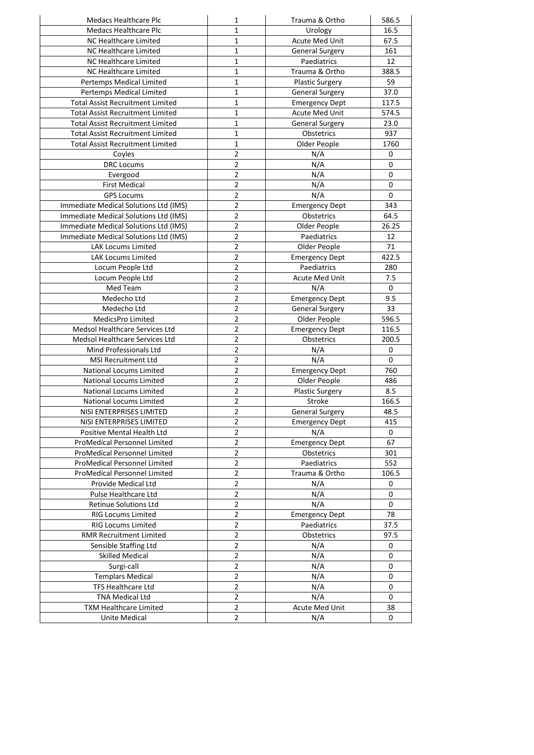| <b>Medacs Healthcare Plc</b>                       | 1                       | Trauma & Ortho         | 586.5       |
|----------------------------------------------------|-------------------------|------------------------|-------------|
| <b>Medacs Healthcare Plc</b>                       | $\mathbf 1$             | Urology                | 16.5        |
| NC Healthcare Limited                              | 1                       | <b>Acute Med Unit</b>  | 67.5        |
| NC Healthcare Limited                              | $\mathbf{1}$            | <b>General Surgery</b> | 161         |
| <b>NC Healthcare Limited</b>                       | $\mathbf{1}$            | Paediatrics            | 12          |
| NC Healthcare Limited                              | $\mathbf{1}$            | Trauma & Ortho         | 388.5       |
| Pertemps Medical Limited                           | 1                       | <b>Plastic Surgery</b> | 59          |
| Pertemps Medical Limited                           | 1                       | <b>General Surgery</b> | 37.0        |
| <b>Total Assist Recruitment Limited</b>            | 1                       | <b>Emergency Dept</b>  | 117.5       |
| <b>Total Assist Recruitment Limited</b>            | $\mathbf 1$             | Acute Med Unit         | 574.5       |
| <b>Total Assist Recruitment Limited</b>            | $\mathbf{1}$            | <b>General Surgery</b> | 23.0        |
| <b>Total Assist Recruitment Limited</b>            | $\mathbf{1}$            |                        | 937         |
|                                                    |                         | Obstetrics             |             |
| <b>Total Assist Recruitment Limited</b>            | $\mathbf{1}$            | Older People           | 1760        |
| Coyles                                             | $\overline{2}$          | N/A                    | 0           |
| <b>DRC</b> Locums                                  | $\overline{2}$          | N/A                    | $\pmb{0}$   |
| Evergood                                           | $\overline{2}$          | N/A                    | 0           |
| <b>First Medical</b>                               | $\overline{2}$          | N/A                    | 0           |
| <b>GPS Locums</b>                                  | $\overline{2}$          | N/A                    | 0           |
| Immediate Medical Solutions Ltd (IMS)              | $\overline{2}$          | <b>Emergency Dept</b>  | 343         |
| Immediate Medical Solutions Ltd (IMS)              | $\overline{2}$          | Obstetrics             | 64.5        |
| Immediate Medical Solutions Ltd (IMS)              | $\mathbf 2$             | Older People           | 26.25       |
| Immediate Medical Solutions Ltd (IMS)              | $\overline{2}$          | Paediatrics            | 12          |
| <b>LAK Locums Limited</b>                          | $\overline{2}$          | Older People           | 71          |
| <b>LAK Locums Limited</b>                          | $\overline{2}$          | <b>Emergency Dept</b>  | 422.5       |
| Locum People Ltd                                   | $\overline{2}$          | Paediatrics            | 280         |
| Locum People Ltd                                   | $\overline{2}$          | Acute Med Unit         | 7.5         |
| Med Team                                           | $\overline{2}$          | N/A                    | 0           |
| Medecho Ltd                                        | $\overline{2}$          | <b>Emergency Dept</b>  | 9.5         |
| Medecho Ltd                                        | $\overline{2}$          | <b>General Surgery</b> | 33          |
| MedicsPro Limited                                  | $\overline{2}$          | Older People           | 596.5       |
| Medsol Healthcare Services Ltd                     | $\overline{2}$          | <b>Emergency Dept</b>  | 116.5       |
| Medsol Healthcare Services Ltd                     | $\overline{2}$          | Obstetrics             | 200.5       |
| Mind Professionals Ltd                             | $\mathbf 2$             | N/A                    | 0           |
| <b>MSI Recruitment Ltd</b>                         | $\overline{2}$          | N/A                    | 0           |
| National Locums Limited                            | $\overline{2}$          | <b>Emergency Dept</b>  | 760         |
| National Locums Limited                            | $\overline{2}$          |                        | 486         |
|                                                    | $\overline{2}$          | Older People           | 8.5         |
| National Locums Limited<br>National Locums Limited | $\overline{2}$          | <b>Plastic Surgery</b> |             |
|                                                    | $\overline{2}$          | Stroke                 | 166.5       |
| NISI ENTERPRISES LIMITED                           |                         | <b>General Surgery</b> | 48.5        |
| NISI ENTERPRISES LIMITED                           | 2                       | <b>Emergency Dept</b>  | 415         |
| Positive Mental Health Ltd                         | $\overline{2}$          | N/A                    | 0           |
| ProMedical Personnel Limited                       | 2                       | <b>Emergency Dept</b>  | 67          |
| ProMedical Personnel Limited                       | $\overline{2}$          | Obstetrics             | 301         |
| ProMedical Personnel Limited                       | $\overline{2}$          | Paediatrics            | 552         |
| ProMedical Personnel Limited                       | 2                       | Trauma & Ortho         | 106.5       |
| Provide Medical Ltd                                | $\mathbf 2$             | N/A                    | 0           |
| Pulse Healthcare Ltd                               | $\mathbf 2$             | N/A                    | 0           |
| Retinue Solutions Ltd                              | $\overline{2}$          | N/A                    | 0           |
| <b>RIG Locums Limited</b>                          | $\overline{2}$          | <b>Emergency Dept</b>  | 78          |
| RIG Locums Limited                                 | $\overline{2}$          | Paediatrics            | 37.5        |
| <b>RMR Recruitment Limited</b>                     | $\overline{2}$          | Obstetrics             | 97.5        |
| Sensible Staffing Ltd                              | $\overline{2}$          | N/A                    | $\mathsf 0$ |
| <b>Skilled Medical</b>                             | $\overline{2}$          | N/A                    | $\mathsf 0$ |
| Surgi-call                                         | $\overline{2}$          | N/A                    | $\mathsf 0$ |
| <b>Templars Medical</b>                            | 2                       | N/A                    | 0           |
| <b>TFS Healthcare Ltd</b>                          | $\overline{2}$          | N/A                    | 0           |
| TNA Medical Ltd                                    | 2                       | N/A                    | 0           |
| <b>TXM Healthcare Limited</b>                      | $\overline{\mathbf{c}}$ | Acute Med Unit         | 38          |
| <b>Unite Medical</b>                               | $\overline{2}$          | N/A                    | $\mathbf 0$ |
|                                                    |                         |                        |             |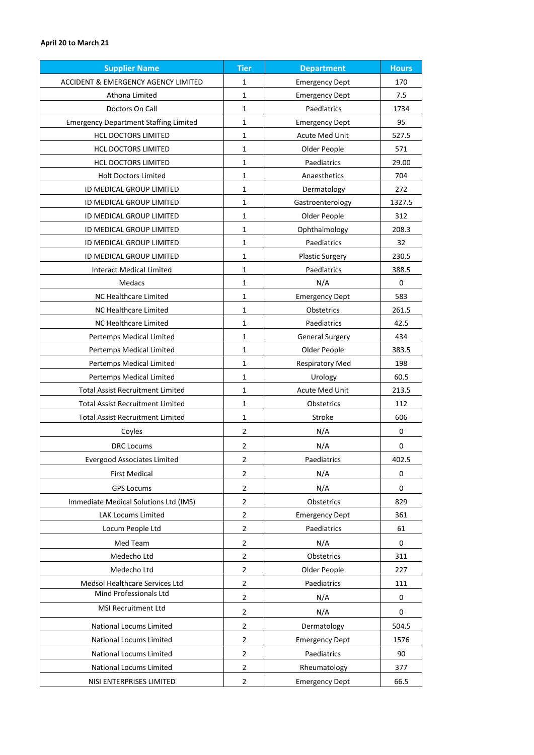| <b>Supplier Name</b>                           | <b>Tier</b>    | <b>Department</b>      | <b>Hours</b> |
|------------------------------------------------|----------------|------------------------|--------------|
| <b>ACCIDENT &amp; EMERGENCY AGENCY LIMITED</b> | 1              | <b>Emergency Dept</b>  | 170          |
| Athona Limited                                 | $\mathbf{1}$   | <b>Emergency Dept</b>  | 7.5          |
| Doctors On Call                                | $\mathbf{1}$   | Paediatrics            | 1734         |
| <b>Emergency Department Staffing Limited</b>   | $\mathbf{1}$   | <b>Emergency Dept</b>  | 95           |
| <b>HCL DOCTORS LIMITED</b>                     | $\mathbf{1}$   | Acute Med Unit         | 527.5        |
| <b>HCL DOCTORS LIMITED</b>                     | $\mathbf{1}$   | Older People           | 571          |
| <b>HCL DOCTORS LIMITED</b>                     | 1              | Paediatrics            | 29.00        |
| <b>Holt Doctors Limited</b>                    | $\mathbf{1}$   | Anaesthetics           | 704          |
| ID MEDICAL GROUP LIMITED                       | 1              | Dermatology            | 272          |
| ID MEDICAL GROUP LIMITED                       | $\mathbf{1}$   | Gastroenterology       | 1327.5       |
| ID MEDICAL GROUP LIMITED                       | 1              | Older People           | 312          |
| ID MEDICAL GROUP LIMITED                       | $\mathbf{1}$   | Ophthalmology          | 208.3        |
| ID MEDICAL GROUP LIMITED                       | 1              | Paediatrics            | 32           |
| ID MEDICAL GROUP LIMITED                       | $\mathbf{1}$   | <b>Plastic Surgery</b> | 230.5        |
| <b>Interact Medical Limited</b>                | 1              | Paediatrics            | 388.5        |
| Medacs                                         | 1              | N/A                    | 0            |
| NC Healthcare Limited                          | $\mathbf{1}$   | <b>Emergency Dept</b>  | 583          |
| <b>NC Healthcare Limited</b>                   | 1              | Obstetrics             | 261.5        |
| NC Healthcare Limited                          | 1              | Paediatrics            | 42.5         |
| Pertemps Medical Limited                       | 1              | <b>General Surgery</b> | 434          |
| Pertemps Medical Limited                       | $\mathbf{1}$   | Older People           | 383.5        |
| Pertemps Medical Limited                       | 1              | <b>Respiratory Med</b> | 198          |
| Pertemps Medical Limited                       | 1              | Urology                | 60.5         |
| <b>Total Assist Recruitment Limited</b>        | $\mathbf{1}$   | Acute Med Unit         | 213.5        |
| <b>Total Assist Recruitment Limited</b>        | $\mathbf{1}$   | Obstetrics             | 112          |
| <b>Total Assist Recruitment Limited</b>        | 1              | Stroke                 | 606          |
| Coyles                                         | $\overline{2}$ | N/A                    | 0            |
| <b>DRC</b> Locums                              | $\overline{2}$ | N/A                    | 0            |
| <b>Evergood Associates Limited</b>             | $\mathcal{P}$  | Paediatrics            | 402.5        |
| <b>First Medical</b>                           | $\overline{2}$ | N/A                    | 0            |
| <b>GPS Locums</b>                              | $\overline{2}$ | N/A                    | 0            |
| Immediate Medical Solutions Ltd (IMS)          | $\overline{2}$ | Obstetrics             | 829          |
| LAK Locums Limited                             | $\overline{2}$ | <b>Emergency Dept</b>  | 361          |
| Locum People Ltd                               | $\overline{2}$ | Paediatrics            | 61           |
| Med Team                                       | $\overline{2}$ | N/A                    | 0            |
| Medecho Ltd                                    | $\overline{2}$ | Obstetrics             | 311          |
| Medecho Ltd                                    | $\overline{2}$ | Older People           | 227          |
| Medsol Healthcare Services Ltd                 | $\overline{2}$ | Paediatrics            | 111          |
| Mind Professionals Ltd                         | $\overline{2}$ | N/A                    | 0            |
| MSI Recruitment Ltd                            | $\overline{2}$ | N/A                    | 0            |
| National Locums Limited                        | 2              | Dermatology            | 504.5        |
| National Locums Limited                        | $\overline{2}$ | <b>Emergency Dept</b>  | 1576         |
| National Locums Limited                        | $\overline{2}$ | Paediatrics            | 90           |
| National Locums Limited                        | $\overline{2}$ | Rheumatology           | 377          |
| NISI ENTERPRISES LIMITED                       | $\overline{2}$ | <b>Emergency Dept</b>  | 66.5         |